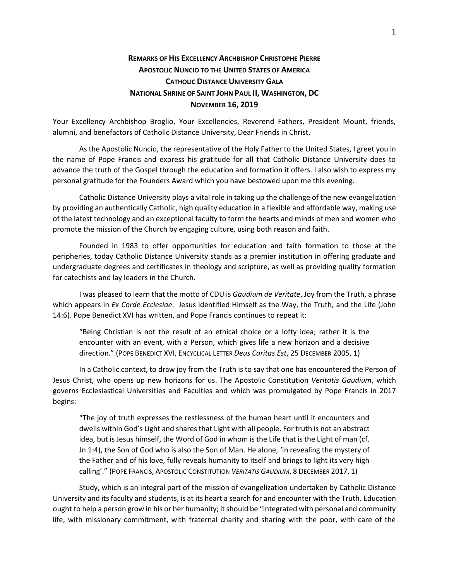## **REMARKS OF HIS EXCELLENCY ARCHBISHOP CHRISTOPHE PIERRE APOSTOLIC NUNCIO TO THE UNITED STATES OF AMERICA CATHOLIC DISTANCE UNIVERSITY GALA NATIONAL SHRINE OF SAINT JOHN PAUL II, WASHINGTON, DC NOVEMBER 16, 2019**

Your Excellency Archbishop Broglio, Your Excellencies, Reverend Fathers, President Mount, friends, alumni, and benefactors of Catholic Distance University, Dear Friends in Christ,

As the Apostolic Nuncio, the representative of the Holy Father to the United States, I greet you in the name of Pope Francis and express his gratitude for all that Catholic Distance University does to advance the truth of the Gospel through the education and formation it offers. I also wish to express my personal gratitude for the Founders Award which you have bestowed upon me this evening.

Catholic Distance University plays a vital role in taking up the challenge of the new evangelization by providing an authentically Catholic, high quality education in a flexible and affordable way, making use of the latest technology and an exceptional faculty to form the hearts and minds of men and women who promote the mission of the Church by engaging culture, using both reason and faith.

Founded in 1983 to offer opportunities for education and faith formation to those at the peripheries, today Catholic Distance University stands as a premier institution in offering graduate and undergraduate degrees and certificates in theology and scripture, as well as providing quality formation for catechists and lay leaders in the Church.

I was pleased to learn that the motto of CDU is *Gaudium de Veritate*, Joy from the Truth, a phrase which appears in *Ex Corde Ecclesiae*. Jesus identified Himself as the Way, the Truth, and the Life (John 14:6). Pope Benedict XVI has written, and Pope Francis continues to repeat it:

"Being Christian is not the result of an ethical choice or a lofty idea; rather it is the encounter with an event, with a Person, which gives life a new horizon and a decisive direction." (POPE BENEDICT XVI, ENCYCLICAL LETTER *Deus Caritas Est*, 25 DECEMBER 2005, 1)

In a Catholic context, to draw joy from the Truth is to say that one has encountered the Person of Jesus Christ, who opens up new horizons for us. The Apostolic Constitution *Veritatis Gaudium*, which governs Ecclesiastical Universities and Faculties and which was promulgated by Pope Francis in 2017 begins:

"The joy of truth expresses the restlessness of the human heart until it encounters and dwells within God's Light and shares that Light with all people. For truth is not an abstract idea, but is Jesus himself, the Word of God in whom is the Life that is the Light of man (cf. Jn 1:4), the Son of God who is also the Son of Man. He alone, 'in revealing the mystery of the Father and of his love, fully reveals humanity to itself and brings to light its very high calling'." (POPE FRANCIS, APOSTOLIC CONSTITUTION *VERITATIS GAUDIUM*, 8 DECEMBER 2017, 1)

Study, which is an integral part of the mission of evangelization undertaken by Catholic Distance University and its faculty and students, is at its heart a search for and encounter with the Truth. Education ought to help a person grow in his or her humanity; it should be "integrated with personal and community life, with missionary commitment, with fraternal charity and sharing with the poor, with care of the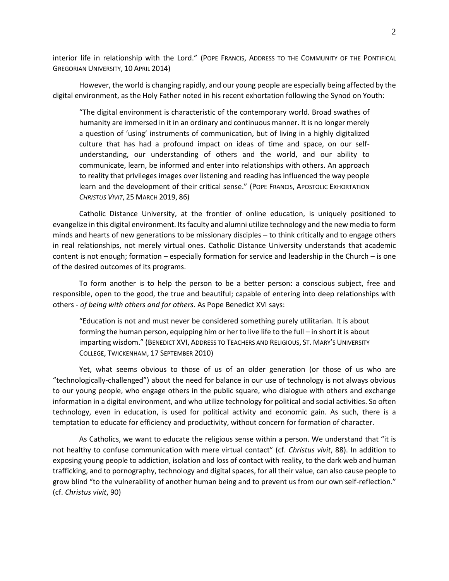interior life in relationship with the Lord." (POPE FRANCIS, ADDRESS TO THE COMMUNITY OF THE PONTIFICAL GREGORIAN UNIVERSITY, 10 APRIL 2014)

However, the world is changing rapidly, and our young people are especially being affected by the digital environment, as the Holy Father noted in his recent exhortation following the Synod on Youth:

"The digital environment is characteristic of the contemporary world. Broad swathes of humanity are immersed in it in an ordinary and continuous manner. It is no longer merely a question of 'using' instruments of communication, but of living in a highly digitalized culture that has had a profound impact on ideas of time and space, on our selfunderstanding, our understanding of others and the world, and our ability to communicate, learn, be informed and enter into relationships with others. An approach to reality that privileges images over listening and reading has influenced the way people learn and the development of their critical sense." (POPE FRANCIS, APOSTOLIC EXHORTATION *CHRISTUS VIVIT*, 25 MARCH 2019, 86)

Catholic Distance University, at the frontier of online education, is uniquely positioned to evangelize in this digital environment. Its faculty and alumni utilize technology and the new media to form minds and hearts of new generations to be missionary disciples – to think critically and to engage others in real relationships, not merely virtual ones. Catholic Distance University understands that academic content is not enough; formation – especially formation for service and leadership in the Church – is one of the desired outcomes of its programs.

To form another is to help the person to be a better person: a conscious subject, free and responsible, open to the good, the true and beautiful; capable of entering into deep relationships with others - *of being with others and for others*. As Pope Benedict XVI says:

"Education is not and must never be considered something purely utilitarian. It is about forming the human person, equipping him or her to live life to the full – in short it is about imparting wisdom." (BENEDICT XVI, ADDRESS TO TEACHERS AND RELIGIOUS, ST. MARY'S UNIVERSITY COLLEGE, TWICKENHAM, 17 SEPTEMBER 2010)

Yet, what seems obvious to those of us of an older generation (or those of us who are "technologically-challenged") about the need for balance in our use of technology is not always obvious to our young people, who engage others in the public square, who dialogue with others and exchange information in a digital environment, and who utilize technology for political and social activities. So often technology, even in education, is used for political activity and economic gain. As such, there is a temptation to educate for efficiency and productivity, without concern for formation of character.

As Catholics, we want to educate the religious sense within a person. We understand that "it is not healthy to confuse communication with mere virtual contact" (cf. *Christus vivit*, 88). In addition to exposing young people to addiction, isolation and loss of contact with reality, to the dark web and human trafficking, and to pornography, technology and digital spaces, for all their value, can also cause people to grow blind "to the vulnerability of another human being and to prevent us from our own self-reflection." (cf. *Christus vivit*, 90)